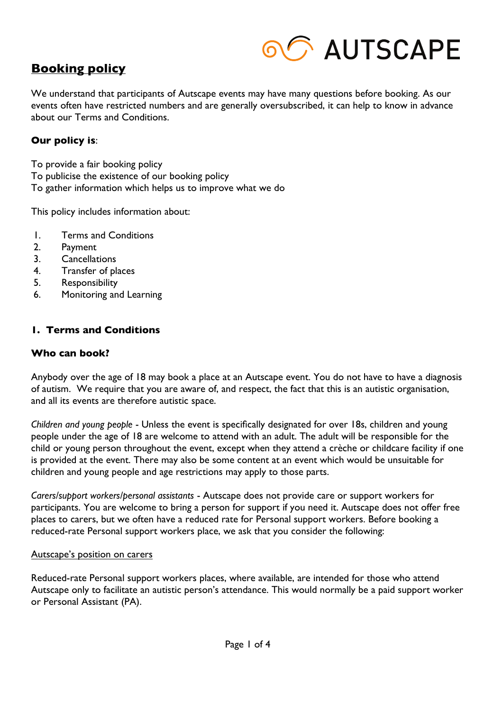

# **Booking policy**

We understand that participants of Autscape events may have many questions before booking. As our events often have restricted numbers and are generally oversubscribed, it can help to know in advance about our Terms and Conditions.

#### **Our policy is**:

To provide a fair booking policy

To publicise the existence of our booking policy

To gather information which helps us to improve what we do

This policy includes information about:

- 1. Terms and Conditions
- 2. Payment
- 3. Cancellations
- 4. Transfer of places
- 5. Responsibility
- 6. Monitoring and Learning

#### **1. Terms and Conditions**

#### **Who can book?**

Anybody over the age of 18 may book a place at an Autscape event. You do not have to have a diagnosis of autism. We require that you are aware of, and respect, the fact that this is an autistic organisation, and all its events are therefore autistic space.

*Children and young people* - Unless the event is specifically designated for over 18s, children and young people under the age of 18 are welcome to attend with an adult. The adult will be responsible for the child or young person throughout the event, except when they attend a crèche or childcare facility if one is provided at the event. There may also be some content at an event which would be unsuitable for children and young people and age restrictions may apply to those parts.

*Carers/support workers/personal assistants* - Autscape does not provide care or support workers for participants. You are welcome to bring a person for support if you need it. Autscape does not offer free places to carers, but we often have a reduced rate for Personal support workers. Before booking a reduced-rate Personal support workers place, we ask that you consider the following:

#### Autscape's position on carers

Reduced-rate Personal support workers places, where available, are intended for those who attend Autscape only to facilitate an autistic person's attendance. This would normally be a paid support worker or Personal Assistant (PA).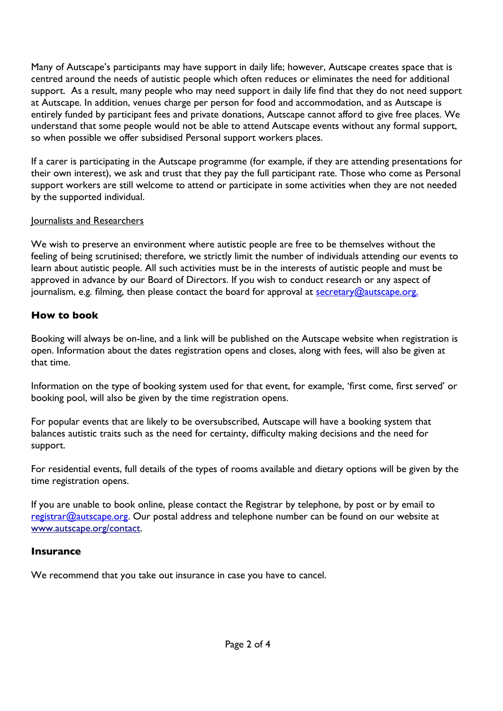Many of Autscape's participants may have support in daily life; however, Autscape creates space that is centred around the needs of autistic people which often reduces or eliminates the need for additional support. As a result, many people who may need support in daily life find that they do not need support at Autscape. In addition, venues charge per person for food and accommodation, and as Autscape is entirely funded by participant fees and private donations, Autscape cannot afford to give free places. We understand that some people would not be able to attend Autscape events without any formal support, so when possible we offer subsidised Personal support workers places.

If a carer is participating in the Autscape programme (for example, if they are attending presentations for their own interest), we ask and trust that they pay the full participant rate. Those who come as Personal support workers are still welcome to attend or participate in some activities when they are not needed by the supported individual.

#### Journalists and Researchers

We wish to preserve an environment where autistic people are free to be themselves without the feeling of being scrutinised; therefore, we strictly limit the number of individuals attending our events to learn about autistic people. All such activities must be in the interests of autistic people and must be approved in advance by our Board of Directors. If you wish to conduct research or any aspect of journalism, e.g. filming, then please contact the board for approval at [secretary@autscape.](mailto:secretary@autscape.org)org.

#### **How to book**

Booking will always be on-line, and a link will be published on the Autscape website when registration is open. Information about the dates registration opens and closes, along with fees, will also be given at that time.

Information on the type of booking system used for that event, for example, 'first come, first served' or booking pool, will also be given by the time registration opens.

For popular events that are likely to be oversubscribed, Autscape will have a booking system that balances autistic traits such as the need for certainty, difficulty making decisions and the need for support.

For residential events, full details of the types of rooms available and dietary options will be given by the time registration opens.

If you are unable to book online, please contact the Registrar by telephone, by post or by email to registrar@autscape.org. Our postal address and telephone number can be found on our website at [www.autscape.org/contact](http://www.autscape.org/contact).

#### **Insurance**

We recommend that you take out insurance in case you have to cancel.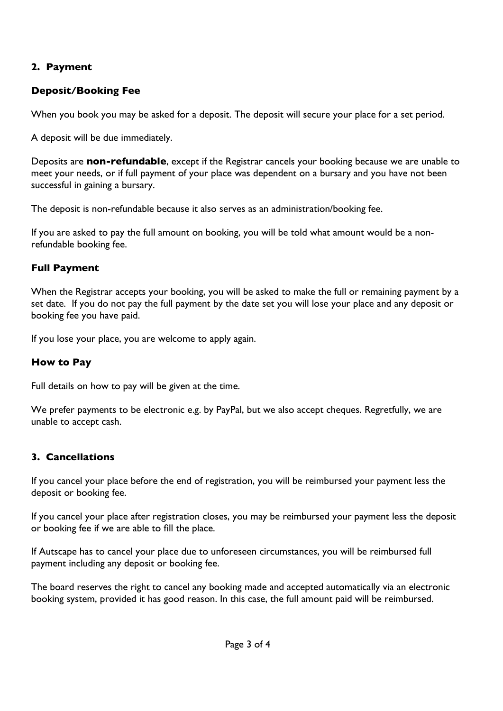### **2. Payment**

### **Deposit/Booking Fee**

When you book you may be asked for a deposit. The deposit will secure your place for a set period.

A deposit will be due immediately.

Deposits are **non-refundable**, except if the Registrar cancels your booking because we are unable to meet your needs, or if full payment of your place was dependent on a bursary and you have not been successful in gaining a bursary.

The deposit is non-refundable because it also serves as an administration/booking fee.

If you are asked to pay the full amount on booking, you will be told what amount would be a nonrefundable booking fee.

## **Full Payment**

When the Registrar accepts your booking, you will be asked to make the full or remaining payment by a set date. If you do not pay the full payment by the date set you will lose your place and any deposit or booking fee you have paid.

If you lose your place, you are welcome to apply again.

### **How to Pay**

Full details on how to pay will be given at the time.

We prefer payments to be electronic e.g. by PayPal, but we also accept cheques. Regretfully, we are unable to accept cash.

### **3. Cancellations**

If you cancel your place before the end of registration, you will be reimbursed your payment less the deposit or booking fee.

If you cancel your place after registration closes, you may be reimbursed your payment less the deposit or booking fee if we are able to fill the place.

If Autscape has to cancel your place due to unforeseen circumstances, you will be reimbursed full payment including any deposit or booking fee.

The board reserves the right to cancel any booking made and accepted automatically via an electronic booking system, provided it has good reason. In this case, the full amount paid will be reimbursed.